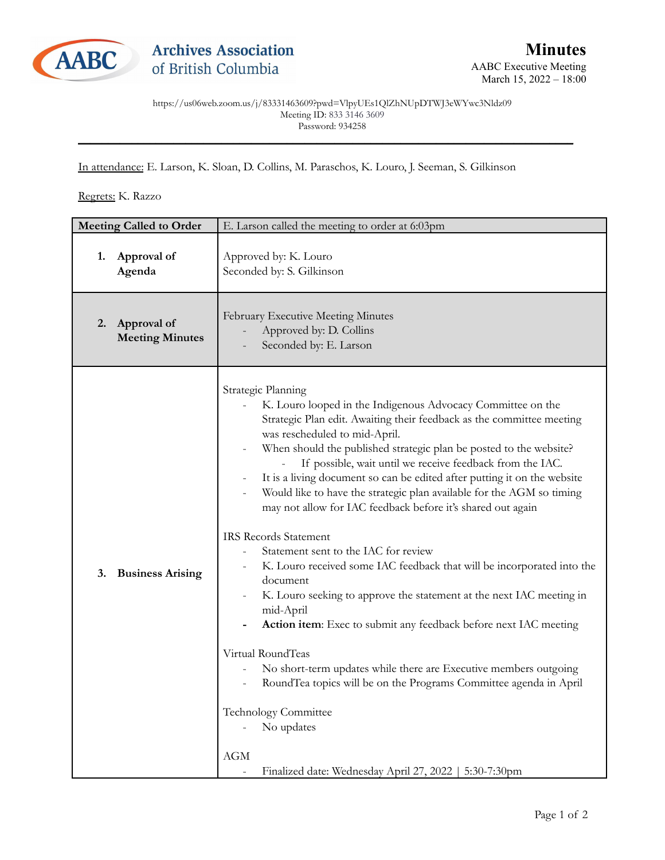

March 15, 2022 - 18:00

https://us06web.zoom.us/j/83331463609?pwd=VlpyUEs1QlZhNUpDTWJ3eWYwc3Nldz09 Meeting ID: 833 3146 3609 Password: 934258 \_\_\_\_\_\_\_\_\_\_\_\_\_\_\_\_\_\_\_\_\_\_\_\_\_\_\_\_\_\_\_\_\_\_\_\_\_\_\_\_\_\_\_\_\_\_\_\_\_\_\_\_\_\_\_\_\_\_\_\_\_\_\_\_\_\_\_\_\_\_\_\_\_\_\_\_\_\_\_\_\_\_\_

In attendance: E. Larson, K. Sloan, D. Collins, M. Paraschos, K. Louro, J. Seeman, S. Gilkinson

Regrets: K. Razzo

| <b>Meeting Called to Order</b> |                                          | E. Larson called the meeting to order at 6:03pm                                                                                                                                                                                                                                                                                                                                                                                                                                                                                                                                                                                                                                                                                                                                                                                                                                                                                                                                                                                                                                                                                                                                   |
|--------------------------------|------------------------------------------|-----------------------------------------------------------------------------------------------------------------------------------------------------------------------------------------------------------------------------------------------------------------------------------------------------------------------------------------------------------------------------------------------------------------------------------------------------------------------------------------------------------------------------------------------------------------------------------------------------------------------------------------------------------------------------------------------------------------------------------------------------------------------------------------------------------------------------------------------------------------------------------------------------------------------------------------------------------------------------------------------------------------------------------------------------------------------------------------------------------------------------------------------------------------------------------|
| 1.                             | Approval of<br>Agenda                    | Approved by: K. Louro<br>Seconded by: S. Gilkinson                                                                                                                                                                                                                                                                                                                                                                                                                                                                                                                                                                                                                                                                                                                                                                                                                                                                                                                                                                                                                                                                                                                                |
|                                | 2. Approval of<br><b>Meeting Minutes</b> | February Executive Meeting Minutes<br>Approved by: D. Collins<br>Seconded by: E. Larson                                                                                                                                                                                                                                                                                                                                                                                                                                                                                                                                                                                                                                                                                                                                                                                                                                                                                                                                                                                                                                                                                           |
| 3.                             | <b>Business Arising</b>                  | Strategic Planning<br>K. Louro looped in the Indigenous Advocacy Committee on the<br>Strategic Plan edit. Awaiting their feedback as the committee meeting<br>was rescheduled to mid-April.<br>When should the published strategic plan be posted to the website?<br>If possible, wait until we receive feedback from the IAC.<br>It is a living document so can be edited after putting it on the website<br>Would like to have the strategic plan available for the AGM so timing<br>may not allow for IAC feedback before it's shared out again<br><b>IRS Records Statement</b><br>Statement sent to the IAC for review<br>K. Louro received some IAC feedback that will be incorporated into the<br>document<br>K. Louro seeking to approve the statement at the next IAC meeting in<br>mid-April<br>Action item: Exec to submit any feedback before next IAC meeting<br>Virtual RoundTeas<br>No short-term updates while there are Executive members outgoing<br>$\overline{\phantom{0}}$<br>RoundTea topics will be on the Programs Committee agenda in April<br>Technology Committee<br>No updates<br><b>AGM</b><br>Finalized date: Wednesday April 27, 2022   5:30-7:30pm |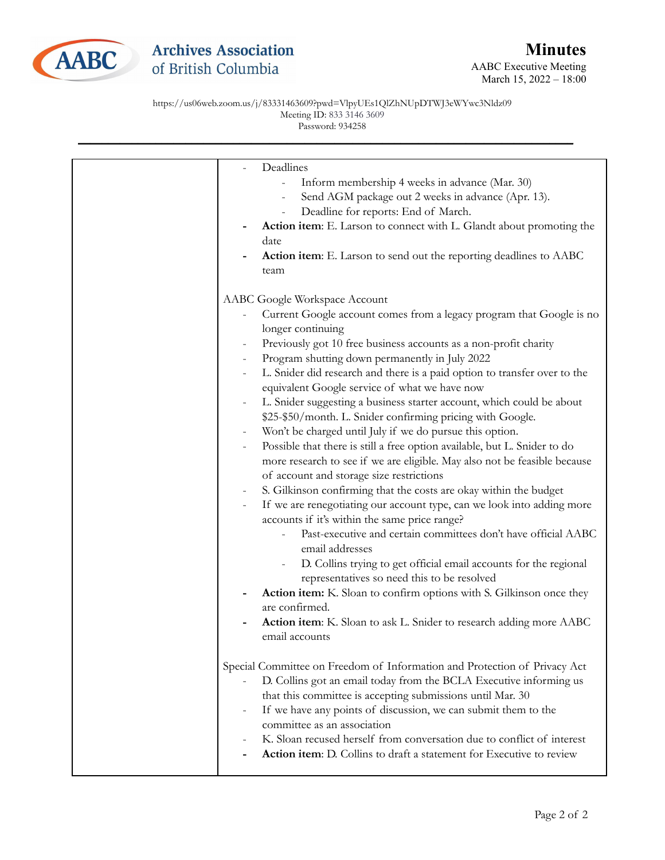

https://us06web.zoom.us/j/83331463609?pwd=VlpyUEs1QlZhNUpDTWJ3eWYwc3Nldz09 Meeting ID: 833 3146 3609 Password: 934258

| Deadlines<br>Inform membership 4 weeks in advance (Mar. 30)<br>Send AGM package out 2 weeks in advance (Apr. 13).<br>$\qquad \qquad -$<br>Deadline for reports: End of March.<br>Action item: E. Larson to connect with L. Glandt about promoting the<br>date<br>Action item: E. Larson to send out the reporting deadlines to AABC<br>team                                                                                                                                                                                                                                                                                                                                                                                                                                                                                                                                                                                                                                                                                                                                                                                                                                                                                                                                                                                                                                                                                                                                           |
|---------------------------------------------------------------------------------------------------------------------------------------------------------------------------------------------------------------------------------------------------------------------------------------------------------------------------------------------------------------------------------------------------------------------------------------------------------------------------------------------------------------------------------------------------------------------------------------------------------------------------------------------------------------------------------------------------------------------------------------------------------------------------------------------------------------------------------------------------------------------------------------------------------------------------------------------------------------------------------------------------------------------------------------------------------------------------------------------------------------------------------------------------------------------------------------------------------------------------------------------------------------------------------------------------------------------------------------------------------------------------------------------------------------------------------------------------------------------------------------|
| AABC Google Workspace Account<br>Current Google account comes from a legacy program that Google is no<br>longer continuing<br>Previously got 10 free business accounts as a non-profit charity<br>Program shutting down permanently in July 2022<br>L. Snider did research and there is a paid option to transfer over to the<br>$\qquad \qquad -$<br>equivalent Google service of what we have now<br>L. Snider suggesting a business starter account, which could be about<br>\$25-\$50/month. L. Snider confirming pricing with Google.<br>Won't be charged until July if we do pursue this option.<br>Possible that there is still a free option available, but L. Snider to do<br>$\qquad \qquad -$<br>more research to see if we are eligible. May also not be feasible because<br>of account and storage size restrictions<br>S. Gilkinson confirming that the costs are okay within the budget<br>If we are renegotiating our account type, can we look into adding more<br>$\overline{\phantom{a}}$<br>accounts if it's within the same price range?<br>Past-executive and certain committees don't have official AABC<br>email addresses<br>D. Collins trying to get official email accounts for the regional<br>$\overline{\phantom{a}}$<br>representatives so need this to be resolved<br>Action item: K. Sloan to confirm options with S. Gilkinson once they<br>are confirmed.<br>Action item: K. Sloan to ask L. Snider to research adding more AABC<br>email accounts |
| Special Committee on Freedom of Information and Protection of Privacy Act<br>D. Collins got an email today from the BCLA Executive informing us<br>that this committee is accepting submissions until Mar. 30<br>If we have any points of discussion, we can submit them to the<br>committee as an association<br>K. Sloan recused herself from conversation due to conflict of interest<br>Action item: D. Collins to draft a statement for Executive to review                                                                                                                                                                                                                                                                                                                                                                                                                                                                                                                                                                                                                                                                                                                                                                                                                                                                                                                                                                                                                      |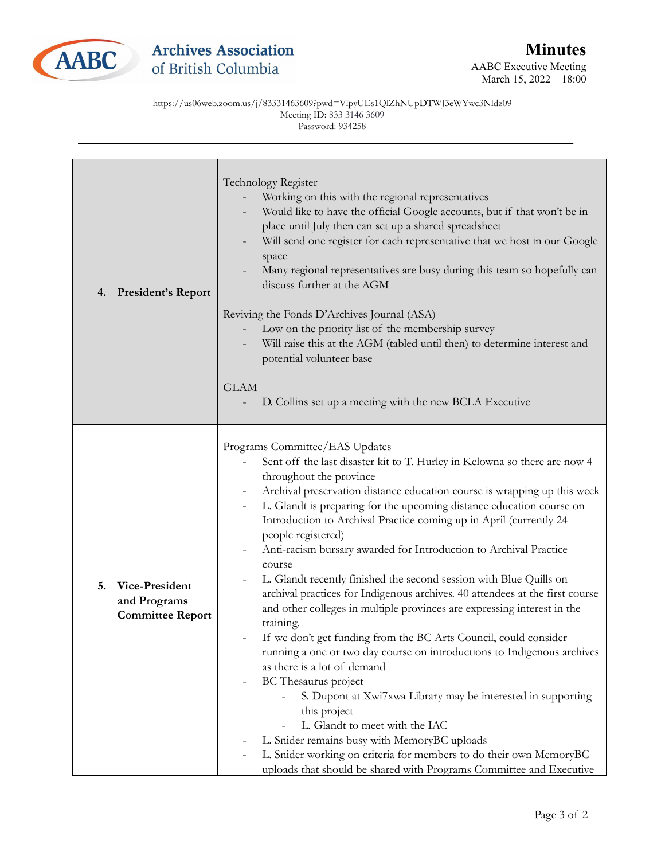

https://us06web.zoom.us/j/83331463609?pwd=VlpyUEs1QlZhNUpDTWJ3eWYwc3Nldz09 Meeting ID: 833 3146 3609 Password: 934258

| <b>President's Report</b><br>4.                                 | Technology Register<br>Working on this with the regional representatives<br>Would like to have the official Google accounts, but if that won't be in<br>place until July then can set up a shared spreadsheet<br>Will send one register for each representative that we host in our Google<br>space<br>Many regional representatives are busy during this team so hopefully can<br>discuss further at the AGM<br>Reviving the Fonds D'Archives Journal (ASA)<br>Low on the priority list of the membership survey<br>Will raise this at the AGM (tabled until then) to determine interest and<br>potential volunteer base<br><b>GLAM</b><br>D. Collins set up a meeting with the new BCLA Executive                                                                                                                                                                                                                                                                                                                                                                                                                                                                                                                                      |
|-----------------------------------------------------------------|------------------------------------------------------------------------------------------------------------------------------------------------------------------------------------------------------------------------------------------------------------------------------------------------------------------------------------------------------------------------------------------------------------------------------------------------------------------------------------------------------------------------------------------------------------------------------------------------------------------------------------------------------------------------------------------------------------------------------------------------------------------------------------------------------------------------------------------------------------------------------------------------------------------------------------------------------------------------------------------------------------------------------------------------------------------------------------------------------------------------------------------------------------------------------------------------------------------------------------------|
| Vice-President<br>5.<br>and Programs<br><b>Committee Report</b> | Programs Committee/EAS Updates<br>Sent off the last disaster kit to T. Hurley in Kelowna so there are now 4<br>throughout the province<br>Archival preservation distance education course is wrapping up this week<br>L. Glandt is preparing for the upcoming distance education course on<br>Introduction to Archival Practice coming up in April (currently 24<br>people registered)<br>Anti-racism bursary awarded for Introduction to Archival Practice<br>course<br>L. Glandt recently finished the second session with Blue Quills on<br>archival practices for Indigenous archives. 40 attendees at the first course<br>and other colleges in multiple provinces are expressing interest in the<br>training.<br>If we don't get funding from the BC Arts Council, could consider<br>running a one or two day course on introductions to Indigenous archives<br>as there is a lot of demand<br>BC Thesaurus project<br>S. Dupont at Xwi7xwa Library may be interested in supporting<br>this project<br>L. Glandt to meet with the IAC<br>L. Snider remains busy with MemoryBC uploads<br>L. Snider working on criteria for members to do their own MemoryBC<br>uploads that should be shared with Programs Committee and Executive |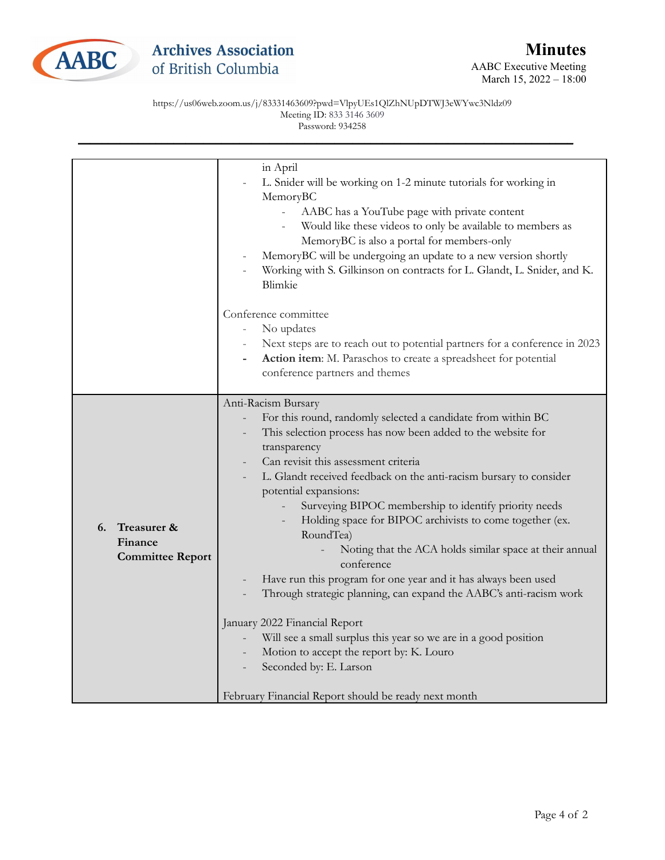

https://us06web.zoom.us/j/83331463609?pwd=VlpyUEs1QlZhNUpDTWJ3eWYwc3Nldz09 Meeting ID: 833 3146 3609 Password: 934258

|                                                         | in April<br>L. Snider will be working on 1-2 minute tutorials for working in<br>MemoryBC<br>AABC has a YouTube page with private content<br>Would like these videos to only be available to members as<br>MemoryBC is also a portal for members-only<br>MemoryBC will be undergoing an update to a new version shortly<br>Working with S. Gilkinson on contracts for L. Glandt, L. Snider, and K.<br>Blimkie                                                                                                                                                                                                                                                                                                                                                                                                                                                                                    |
|---------------------------------------------------------|-------------------------------------------------------------------------------------------------------------------------------------------------------------------------------------------------------------------------------------------------------------------------------------------------------------------------------------------------------------------------------------------------------------------------------------------------------------------------------------------------------------------------------------------------------------------------------------------------------------------------------------------------------------------------------------------------------------------------------------------------------------------------------------------------------------------------------------------------------------------------------------------------|
|                                                         | Conference committee<br>No updates<br>$\equiv$<br>Next steps are to reach out to potential partners for a conference in 2023<br>Action item: M. Paraschos to create a spreadsheet for potential<br>conference partners and themes                                                                                                                                                                                                                                                                                                                                                                                                                                                                                                                                                                                                                                                               |
| Treasurer &<br>6.<br>Finance<br><b>Committee Report</b> | Anti-Racism Bursary<br>For this round, randomly selected a candidate from within BC<br>This selection process has now been added to the website for<br>transparency<br>Can revisit this assessment criteria<br>L. Glandt received feedback on the anti-racism bursary to consider<br>potential expansions:<br>Surveying BIPOC membership to identify priority needs<br>Holding space for BIPOC archivists to come together (ex.<br>RoundTea)<br>Noting that the ACA holds similar space at their annual<br>conference<br>Have run this program for one year and it has always been used<br>Through strategic planning, can expand the AABC's anti-racism work<br>January 2022 Financial Report<br>Will see a small surplus this year so we are in a good position<br>Motion to accept the report by: K. Louro<br>Seconded by: E. Larson<br>February Financial Report should be ready next month |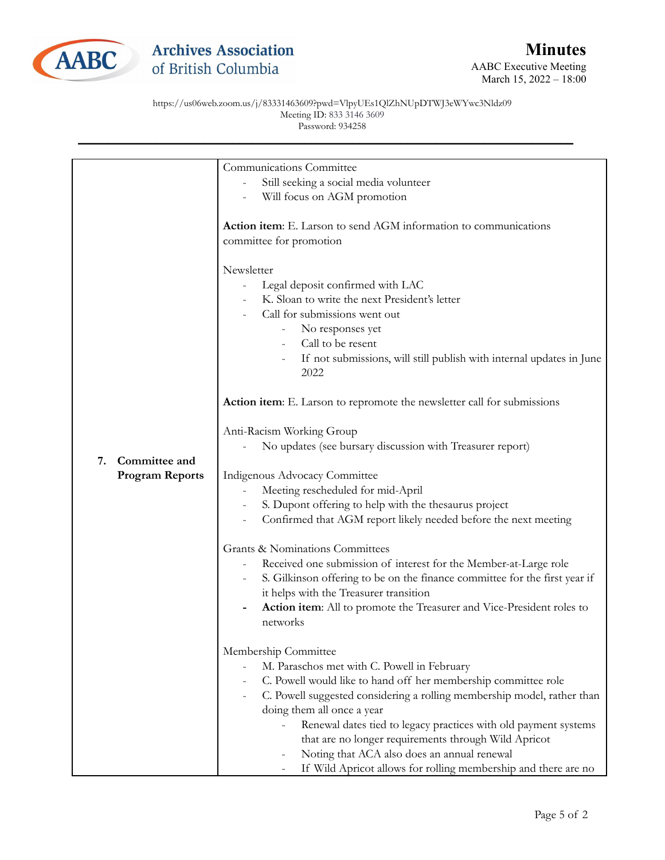

## https://us06web.zoom.us/j/83331463609?pwd=VlpyUEs1QlZhNUpDTWJ3eWYwc3Nldz09 Meeting ID: 833 3146 3609 Password: 934258

|                        | Communications Committee                                                     |
|------------------------|------------------------------------------------------------------------------|
|                        | Still seeking a social media volunteer                                       |
|                        | Will focus on AGM promotion                                                  |
|                        |                                                                              |
|                        | Action item: E. Larson to send AGM information to communications             |
|                        | committee for promotion                                                      |
|                        |                                                                              |
|                        | Newsletter                                                                   |
|                        | Legal deposit confirmed with LAC                                             |
|                        | K. Sloan to write the next President's letter                                |
|                        | Call for submissions went out                                                |
|                        | No responses yet<br>-                                                        |
|                        | Call to be resent                                                            |
|                        | If not submissions, will still publish with internal updates in June         |
|                        | 2022                                                                         |
|                        |                                                                              |
|                        | Action item: E. Larson to repromote the newsletter call for submissions      |
|                        | Anti-Racism Working Group                                                    |
|                        | No updates (see bursary discussion with Treasurer report)                    |
| Committee and<br>7.    |                                                                              |
| <b>Program Reports</b> | Indigenous Advocacy Committee                                                |
|                        | Meeting rescheduled for mid-April                                            |
|                        | S. Dupont offering to help with the thesaurus project                        |
|                        | Confirmed that AGM report likely needed before the next meeting              |
|                        | <b>Grants &amp; Nominations Committees</b>                                   |
|                        | Received one submission of interest for the Member-at-Large role             |
|                        | S. Gilkinson offering to be on the finance committee for the first year if   |
|                        | it helps with the Treasurer transition                                       |
|                        | <b>Action item:</b> All to promote the Treasurer and Vice-President roles to |
|                        | networks                                                                     |
|                        |                                                                              |
|                        | Membership Committee                                                         |
|                        | M. Paraschos met with C. Powell in February                                  |
|                        | C. Powell would like to hand off her membership committee role               |
|                        | C. Powell suggested considering a rolling membership model, rather than      |
|                        | doing them all once a year                                                   |
|                        | Renewal dates tied to legacy practices with old payment systems              |
|                        | that are no longer requirements through Wild Apricot                         |
|                        | Noting that ACA also does an annual renewal                                  |
|                        | If Wild Apricot allows for rolling membership and there are no               |